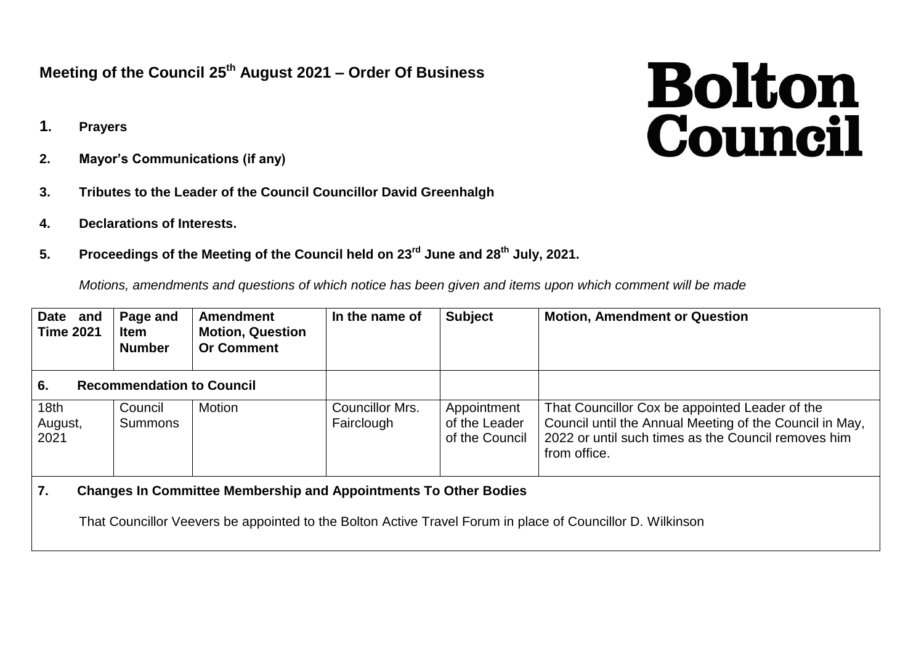## **Meeting of the Council 25th August 2021 – Order Of Business**

- **1. Prayers**
- **2. Mayor's Communications (if any)**
- **3. Tributes to the Leader of the Council Councillor David Greenhalgh**
- **4. Declarations of Interests.**
- **5. Proceedings of the Meeting of the Council held on 23rd June and 28th July, 2021.**

*Motions, amendments and questions of which notice has been given and items upon which comment will be made*

| Date and<br><b>Time 2021</b>           | Page and<br><b>Item</b><br><b>Number</b> | <b>Amendment</b><br><b>Motion, Question</b><br><b>Or Comment</b> | In the name of                | <b>Subject</b>                                 | <b>Motion, Amendment or Question</b>                                                                                                                                             |
|----------------------------------------|------------------------------------------|------------------------------------------------------------------|-------------------------------|------------------------------------------------|----------------------------------------------------------------------------------------------------------------------------------------------------------------------------------|
| 6.<br><b>Recommendation to Council</b> |                                          |                                                                  |                               |                                                |                                                                                                                                                                                  |
| 18 <sub>th</sub><br>August,<br>2021    | Council<br><b>Summons</b>                | Motion                                                           | Councillor Mrs.<br>Fairclough | Appointment<br>of the Leader<br>of the Council | That Councillor Cox be appointed Leader of the<br>Council until the Annual Meeting of the Council in May,<br>2022 or until such times as the Council removes him<br>from office. |

**7. Changes In Committee Membership and Appointments To Other Bodies**

That Councillor Veevers be appointed to the Bolton Active Travel Forum in place of Councillor D. Wilkinson

## **Bolton**<br>Council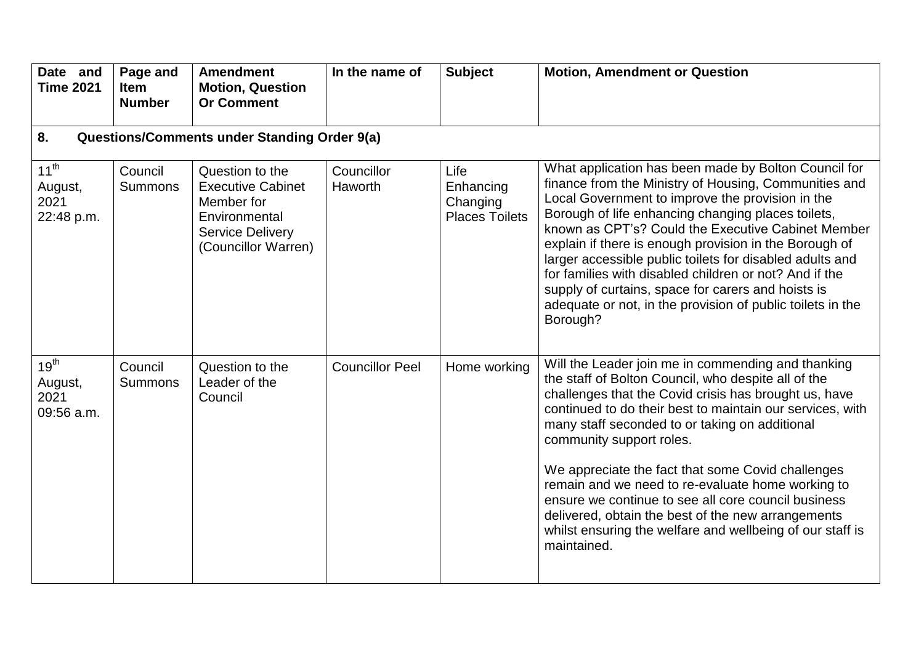| Date and<br><b>Time 2021</b>               | Page and<br><b>Item</b><br><b>Number</b>            | <b>Amendment</b><br><b>Motion, Question</b><br><b>Or Comment</b>                                                             | In the name of         | <b>Subject</b>                                         | <b>Motion, Amendment or Question</b>                                                                                                                                                                                                                                                                                                                                                                                                                                                                                                                                                                             |  |  |  |  |
|--------------------------------------------|-----------------------------------------------------|------------------------------------------------------------------------------------------------------------------------------|------------------------|--------------------------------------------------------|------------------------------------------------------------------------------------------------------------------------------------------------------------------------------------------------------------------------------------------------------------------------------------------------------------------------------------------------------------------------------------------------------------------------------------------------------------------------------------------------------------------------------------------------------------------------------------------------------------------|--|--|--|--|
| 8.                                         | <b>Questions/Comments under Standing Order 9(a)</b> |                                                                                                                              |                        |                                                        |                                                                                                                                                                                                                                                                                                                                                                                                                                                                                                                                                                                                                  |  |  |  |  |
| $11^{th}$<br>August,<br>2021<br>22:48 p.m. | Council<br><b>Summons</b>                           | Question to the<br><b>Executive Cabinet</b><br>Member for<br>Environmental<br><b>Service Delivery</b><br>(Councillor Warren) | Councillor<br>Haworth  | Life<br>Enhancing<br>Changing<br><b>Places Toilets</b> | What application has been made by Bolton Council for<br>finance from the Ministry of Housing, Communities and<br>Local Government to improve the provision in the<br>Borough of life enhancing changing places toilets,<br>known as CPT's? Could the Executive Cabinet Member<br>explain if there is enough provision in the Borough of<br>larger accessible public toilets for disabled adults and<br>for families with disabled children or not? And if the<br>supply of curtains, space for carers and hoists is<br>adequate or not, in the provision of public toilets in the<br>Borough?                    |  |  |  |  |
| $19^{th}$<br>August,<br>2021<br>09:56 a.m. | Council<br><b>Summons</b>                           | Question to the<br>Leader of the<br>Council                                                                                  | <b>Councillor Peel</b> | Home working                                           | Will the Leader join me in commending and thanking<br>the staff of Bolton Council, who despite all of the<br>challenges that the Covid crisis has brought us, have<br>continued to do their best to maintain our services, with<br>many staff seconded to or taking on additional<br>community support roles.<br>We appreciate the fact that some Covid challenges<br>remain and we need to re-evaluate home working to<br>ensure we continue to see all core council business<br>delivered, obtain the best of the new arrangements<br>whilst ensuring the welfare and wellbeing of our staff is<br>maintained. |  |  |  |  |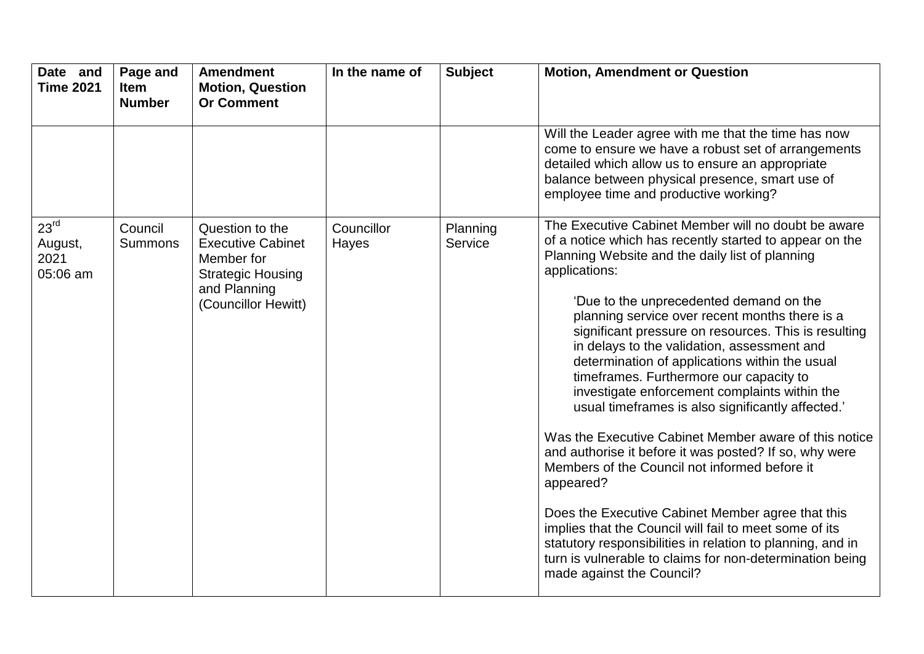| Date and<br><b>Time 2021</b>                    | Page and<br><b>Item</b><br><b>Number</b> | <b>Amendment</b><br><b>Motion, Question</b><br><b>Or Comment</b>                                                             | In the name of      | <b>Subject</b>      | <b>Motion, Amendment or Question</b>                                                                                                                                                                                                                                                                                                                                                                                                                                                                                                                                                                                                                                                                                                                                                                                                                                                                                                                                                                                                             |
|-------------------------------------------------|------------------------------------------|------------------------------------------------------------------------------------------------------------------------------|---------------------|---------------------|--------------------------------------------------------------------------------------------------------------------------------------------------------------------------------------------------------------------------------------------------------------------------------------------------------------------------------------------------------------------------------------------------------------------------------------------------------------------------------------------------------------------------------------------------------------------------------------------------------------------------------------------------------------------------------------------------------------------------------------------------------------------------------------------------------------------------------------------------------------------------------------------------------------------------------------------------------------------------------------------------------------------------------------------------|
|                                                 |                                          |                                                                                                                              |                     |                     | Will the Leader agree with me that the time has now<br>come to ensure we have a robust set of arrangements<br>detailed which allow us to ensure an appropriate<br>balance between physical presence, smart use of<br>employee time and productive working?                                                                                                                                                                                                                                                                                                                                                                                                                                                                                                                                                                                                                                                                                                                                                                                       |
| 23 <sup>rd</sup><br>August,<br>2021<br>05:06 am | Council<br><b>Summons</b>                | Question to the<br><b>Executive Cabinet</b><br>Member for<br><b>Strategic Housing</b><br>and Planning<br>(Councillor Hewitt) | Councillor<br>Hayes | Planning<br>Service | The Executive Cabinet Member will no doubt be aware<br>of a notice which has recently started to appear on the<br>Planning Website and the daily list of planning<br>applications:<br>'Due to the unprecedented demand on the<br>planning service over recent months there is a<br>significant pressure on resources. This is resulting<br>in delays to the validation, assessment and<br>determination of applications within the usual<br>timeframes. Furthermore our capacity to<br>investigate enforcement complaints within the<br>usual timeframes is also significantly affected.'<br>Was the Executive Cabinet Member aware of this notice<br>and authorise it before it was posted? If so, why were<br>Members of the Council not informed before it<br>appeared?<br>Does the Executive Cabinet Member agree that this<br>implies that the Council will fail to meet some of its<br>statutory responsibilities in relation to planning, and in<br>turn is vulnerable to claims for non-determination being<br>made against the Council? |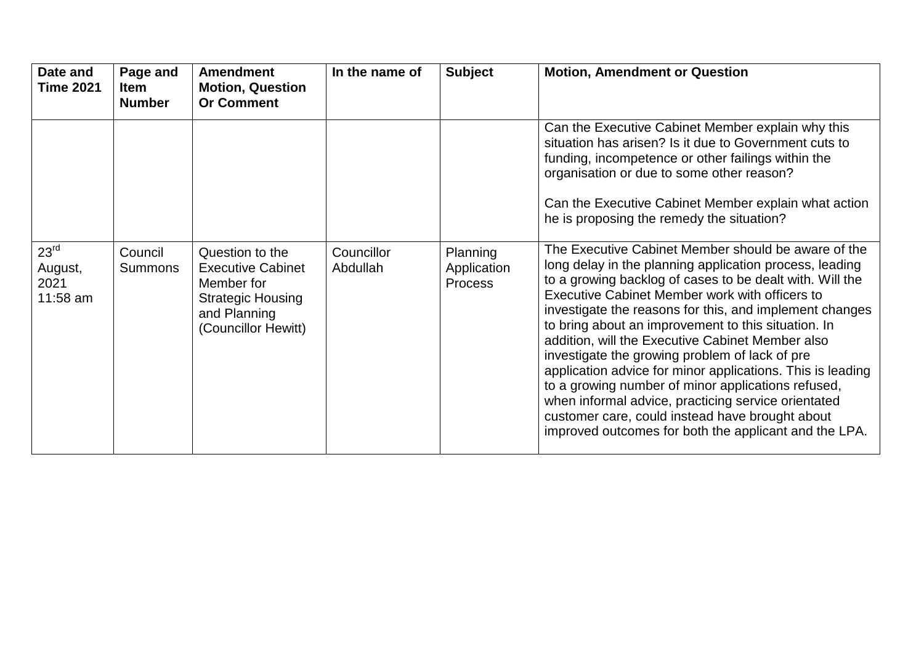| Date and<br><b>Time 2021</b>                      | Page and<br><b>Item</b><br><b>Number</b> | <b>Amendment</b><br><b>Motion, Question</b><br><b>Or Comment</b>                                                             | In the name of         | <b>Subject</b>                            | <b>Motion, Amendment or Question</b>                                                                                                                                                                                                                                                                                                                                                                                                                                                                                                                                                                                                                                                                                                        |
|---------------------------------------------------|------------------------------------------|------------------------------------------------------------------------------------------------------------------------------|------------------------|-------------------------------------------|---------------------------------------------------------------------------------------------------------------------------------------------------------------------------------------------------------------------------------------------------------------------------------------------------------------------------------------------------------------------------------------------------------------------------------------------------------------------------------------------------------------------------------------------------------------------------------------------------------------------------------------------------------------------------------------------------------------------------------------------|
|                                                   |                                          |                                                                                                                              |                        |                                           | Can the Executive Cabinet Member explain why this<br>situation has arisen? Is it due to Government cuts to<br>funding, incompetence or other failings within the<br>organisation or due to some other reason?                                                                                                                                                                                                                                                                                                                                                                                                                                                                                                                               |
|                                                   |                                          |                                                                                                                              |                        |                                           | Can the Executive Cabinet Member explain what action<br>he is proposing the remedy the situation?                                                                                                                                                                                                                                                                                                                                                                                                                                                                                                                                                                                                                                           |
| $23^{\text{rd}}$<br>August,<br>2021<br>$11:58$ am | Council<br><b>Summons</b>                | Question to the<br><b>Executive Cabinet</b><br>Member for<br><b>Strategic Housing</b><br>and Planning<br>(Councillor Hewitt) | Councillor<br>Abdullah | Planning<br>Application<br><b>Process</b> | The Executive Cabinet Member should be aware of the<br>long delay in the planning application process, leading<br>to a growing backlog of cases to be dealt with. Will the<br>Executive Cabinet Member work with officers to<br>investigate the reasons for this, and implement changes<br>to bring about an improvement to this situation. In<br>addition, will the Executive Cabinet Member also<br>investigate the growing problem of lack of pre<br>application advice for minor applications. This is leading<br>to a growing number of minor applications refused,<br>when informal advice, practicing service orientated<br>customer care, could instead have brought about<br>improved outcomes for both the applicant and the LPA. |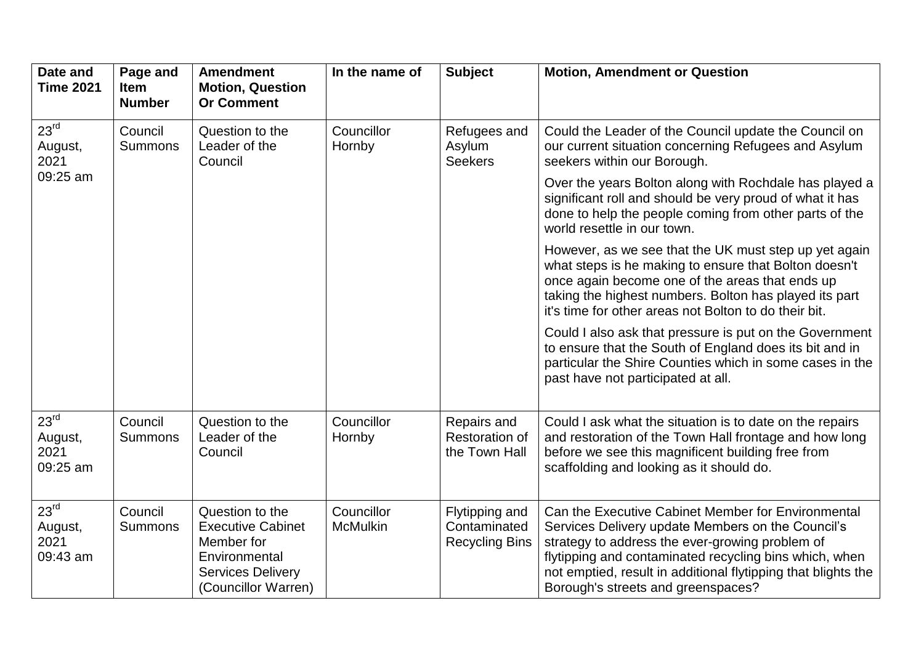| Date and<br><b>Time 2021</b>                    | Page and<br><b>Item</b><br><b>Number</b> | <b>Amendment</b><br><b>Motion, Question</b><br><b>Or Comment</b>                                                              | In the name of                | <b>Subject</b>                                          | <b>Motion, Amendment or Question</b>                                                                                                                                                                                                                                                                                        |
|-------------------------------------------------|------------------------------------------|-------------------------------------------------------------------------------------------------------------------------------|-------------------------------|---------------------------------------------------------|-----------------------------------------------------------------------------------------------------------------------------------------------------------------------------------------------------------------------------------------------------------------------------------------------------------------------------|
| 23 <sup>rd</sup><br>August,<br>2021             | Council<br><b>Summons</b>                | Question to the<br>Leader of the<br>Council                                                                                   | Councillor<br>Hornby          | Refugees and<br>Asylum<br><b>Seekers</b>                | Could the Leader of the Council update the Council on<br>our current situation concerning Refugees and Asylum<br>seekers within our Borough.                                                                                                                                                                                |
| 09:25 am                                        |                                          |                                                                                                                               |                               |                                                         | Over the years Bolton along with Rochdale has played a<br>significant roll and should be very proud of what it has<br>done to help the people coming from other parts of the<br>world resettle in our town.                                                                                                                 |
|                                                 |                                          |                                                                                                                               |                               |                                                         | However, as we see that the UK must step up yet again<br>what steps is he making to ensure that Bolton doesn't<br>once again become one of the areas that ends up<br>taking the highest numbers. Bolton has played its part<br>it's time for other areas not Bolton to do their bit.                                        |
|                                                 |                                          |                                                                                                                               |                               |                                                         | Could I also ask that pressure is put on the Government<br>to ensure that the South of England does its bit and in<br>particular the Shire Counties which in some cases in the<br>past have not participated at all.                                                                                                        |
| 23 <sup>rd</sup><br>August,<br>2021<br>09:25 am | Council<br><b>Summons</b>                | Question to the<br>Leader of the<br>Council                                                                                   | Councillor<br>Hornby          | Repairs and<br><b>Restoration of</b><br>the Town Hall   | Could I ask what the situation is to date on the repairs<br>and restoration of the Town Hall frontage and how long<br>before we see this magnificent building free from<br>scaffolding and looking as it should do.                                                                                                         |
| 23 <sup>rd</sup><br>August,<br>2021<br>09:43 am | Council<br><b>Summons</b>                | Question to the<br><b>Executive Cabinet</b><br>Member for<br>Environmental<br><b>Services Delivery</b><br>(Councillor Warren) | Councillor<br><b>McMulkin</b> | Flytipping and<br>Contaminated<br><b>Recycling Bins</b> | Can the Executive Cabinet Member for Environmental<br>Services Delivery update Members on the Council's<br>strategy to address the ever-growing problem of<br>flytipping and contaminated recycling bins which, when<br>not emptied, result in additional flytipping that blights the<br>Borough's streets and greenspaces? |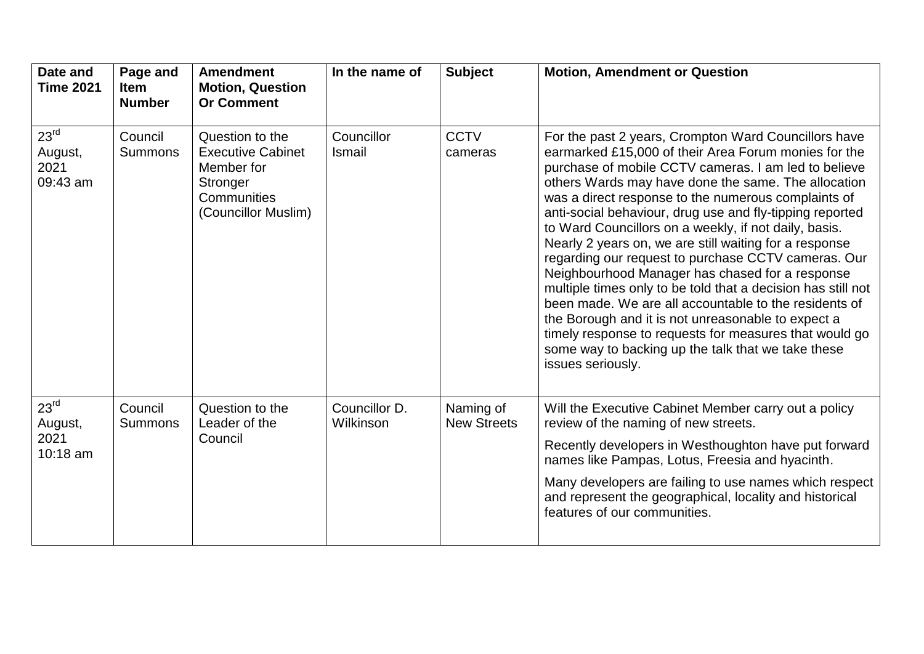| Date and<br><b>Time 2021</b>                    | Page and<br><b>Item</b><br><b>Number</b> | <b>Amendment</b><br><b>Motion, Question</b><br><b>Or Comment</b>                                            | In the name of             | <b>Subject</b>                  | <b>Motion, Amendment or Question</b>                                                                                                                                                                                                                                                                                                                                                                                                                                                                                                                                                                                                                                                                                                                                                                                                                                                            |
|-------------------------------------------------|------------------------------------------|-------------------------------------------------------------------------------------------------------------|----------------------------|---------------------------------|-------------------------------------------------------------------------------------------------------------------------------------------------------------------------------------------------------------------------------------------------------------------------------------------------------------------------------------------------------------------------------------------------------------------------------------------------------------------------------------------------------------------------------------------------------------------------------------------------------------------------------------------------------------------------------------------------------------------------------------------------------------------------------------------------------------------------------------------------------------------------------------------------|
| 23 <sup>rd</sup><br>August,<br>2021<br>09:43 am | Council<br><b>Summons</b>                | Question to the<br><b>Executive Cabinet</b><br>Member for<br>Stronger<br>Communities<br>(Councillor Muslim) | Councillor<br>Ismail       | <b>CCTV</b><br>cameras          | For the past 2 years, Crompton Ward Councillors have<br>earmarked £15,000 of their Area Forum monies for the<br>purchase of mobile CCTV cameras. I am led to believe<br>others Wards may have done the same. The allocation<br>was a direct response to the numerous complaints of<br>anti-social behaviour, drug use and fly-tipping reported<br>to Ward Councillors on a weekly, if not daily, basis.<br>Nearly 2 years on, we are still waiting for a response<br>regarding our request to purchase CCTV cameras. Our<br>Neighbourhood Manager has chased for a response<br>multiple times only to be told that a decision has still not<br>been made. We are all accountable to the residents of<br>the Borough and it is not unreasonable to expect a<br>timely response to requests for measures that would go<br>some way to backing up the talk that we take these<br>issues seriously. |
| 23 <sup>rd</sup><br>August,<br>2021             | Council<br><b>Summons</b>                | Question to the<br>Leader of the<br>Council                                                                 | Councillor D.<br>Wilkinson | Naming of<br><b>New Streets</b> | Will the Executive Cabinet Member carry out a policy<br>review of the naming of new streets.                                                                                                                                                                                                                                                                                                                                                                                                                                                                                                                                                                                                                                                                                                                                                                                                    |
| 10:18 am                                        |                                          |                                                                                                             |                            |                                 | Recently developers in Westhoughton have put forward<br>names like Pampas, Lotus, Freesia and hyacinth.                                                                                                                                                                                                                                                                                                                                                                                                                                                                                                                                                                                                                                                                                                                                                                                         |
|                                                 |                                          |                                                                                                             |                            |                                 | Many developers are failing to use names which respect<br>and represent the geographical, locality and historical<br>features of our communities.                                                                                                                                                                                                                                                                                                                                                                                                                                                                                                                                                                                                                                                                                                                                               |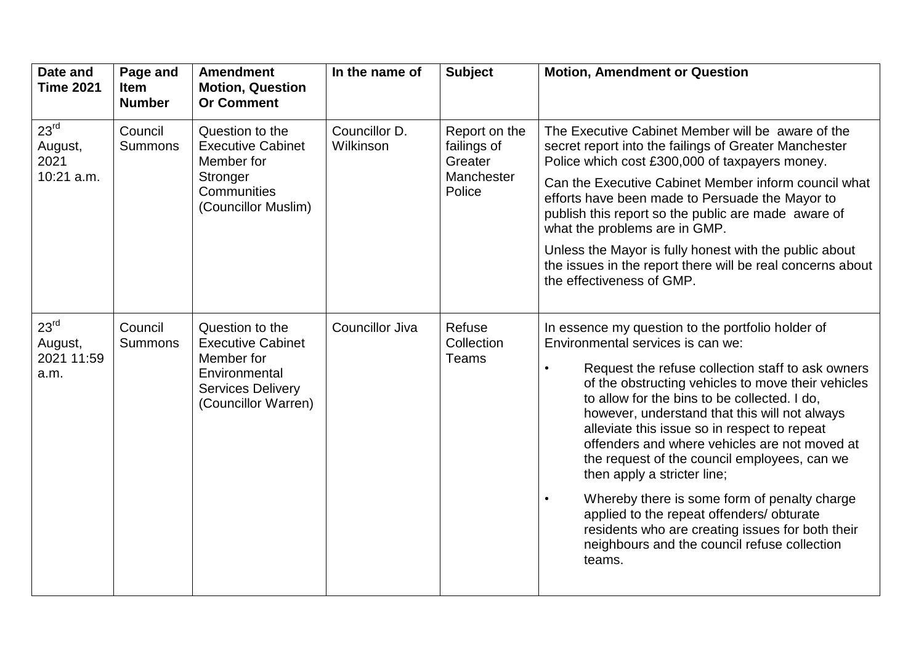| Date and<br><b>Time 2021</b>                      | Page and<br><b>Item</b><br><b>Number</b> | <b>Amendment</b><br><b>Motion, Question</b><br><b>Or Comment</b>                                                              | In the name of             | <b>Subject</b>                                                  | <b>Motion, Amendment or Question</b>                                                                                                                                                                                                                                                                                                                                                                                                                                                                                                                                                                                                                                                                                    |
|---------------------------------------------------|------------------------------------------|-------------------------------------------------------------------------------------------------------------------------------|----------------------------|-----------------------------------------------------------------|-------------------------------------------------------------------------------------------------------------------------------------------------------------------------------------------------------------------------------------------------------------------------------------------------------------------------------------------------------------------------------------------------------------------------------------------------------------------------------------------------------------------------------------------------------------------------------------------------------------------------------------------------------------------------------------------------------------------------|
| 23 <sup>rd</sup><br>August,<br>2021               | Council<br><b>Summons</b>                | Question to the<br><b>Executive Cabinet</b><br>Member for                                                                     | Councillor D.<br>Wilkinson | Report on the<br>failings of<br>Greater<br>Manchester<br>Police | The Executive Cabinet Member will be aware of the<br>secret report into the failings of Greater Manchester<br>Police which cost £300,000 of taxpayers money.                                                                                                                                                                                                                                                                                                                                                                                                                                                                                                                                                            |
| 10:21 a.m.                                        |                                          | Stronger<br>Communities<br>(Councillor Muslim)                                                                                |                            |                                                                 | Can the Executive Cabinet Member inform council what<br>efforts have been made to Persuade the Mayor to<br>publish this report so the public are made aware of<br>what the problems are in GMP.                                                                                                                                                                                                                                                                                                                                                                                                                                                                                                                         |
|                                                   |                                          |                                                                                                                               |                            |                                                                 | Unless the Mayor is fully honest with the public about<br>the issues in the report there will be real concerns about<br>the effectiveness of GMP.                                                                                                                                                                                                                                                                                                                                                                                                                                                                                                                                                                       |
| 23 <sup>rd</sup><br>August,<br>2021 11:59<br>a.m. | Council<br><b>Summons</b>                | Question to the<br><b>Executive Cabinet</b><br>Member for<br>Environmental<br><b>Services Delivery</b><br>(Councillor Warren) | Councillor Jiva            | Refuse<br>Collection<br>Teams                                   | In essence my question to the portfolio holder of<br>Environmental services is can we:<br>Request the refuse collection staff to ask owners<br>$\bullet$<br>of the obstructing vehicles to move their vehicles<br>to allow for the bins to be collected. I do,<br>however, understand that this will not always<br>alleviate this issue so in respect to repeat<br>offenders and where vehicles are not moved at<br>the request of the council employees, can we<br>then apply a stricter line;<br>Whereby there is some form of penalty charge<br>$\bullet$<br>applied to the repeat offenders/ obturate<br>residents who are creating issues for both their<br>neighbours and the council refuse collection<br>teams. |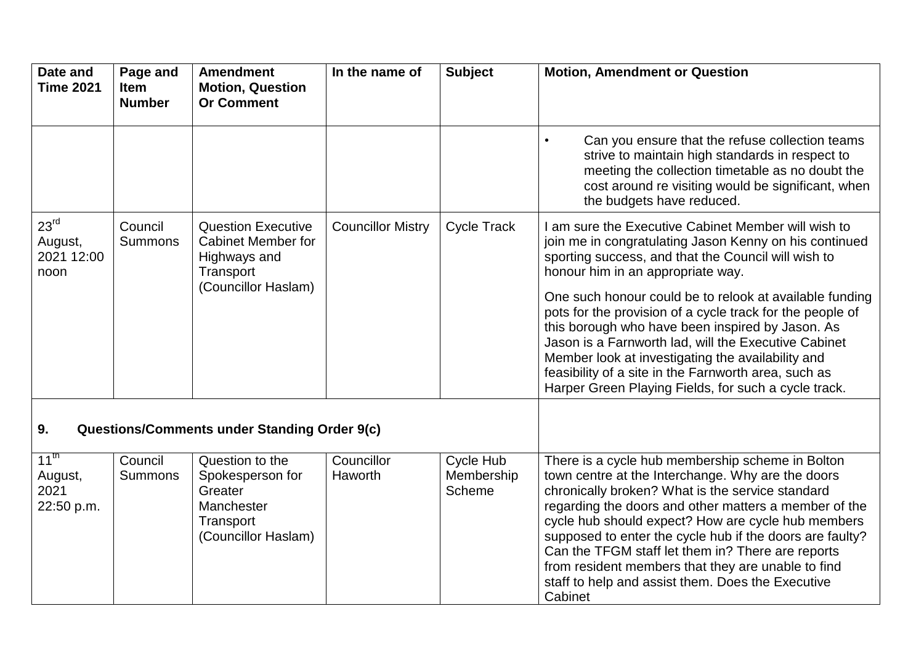| Date and<br><b>Time 2021</b>                      | Page and<br><b>Item</b><br><b>Number</b> | <b>Amendment</b><br><b>Motion, Question</b><br><b>Or Comment</b>                                 | In the name of           | <b>Subject</b>                    | <b>Motion, Amendment or Question</b>                                                                                                                                                                                                                                                                                                                                                                                                                                                                            |
|---------------------------------------------------|------------------------------------------|--------------------------------------------------------------------------------------------------|--------------------------|-----------------------------------|-----------------------------------------------------------------------------------------------------------------------------------------------------------------------------------------------------------------------------------------------------------------------------------------------------------------------------------------------------------------------------------------------------------------------------------------------------------------------------------------------------------------|
|                                                   |                                          |                                                                                                  |                          |                                   | Can you ensure that the refuse collection teams<br>$\bullet$<br>strive to maintain high standards in respect to<br>meeting the collection timetable as no doubt the<br>cost around re visiting would be significant, when<br>the budgets have reduced.                                                                                                                                                                                                                                                          |
| 23 <sup>rd</sup><br>August,<br>2021 12:00<br>noon | Council<br>Summons                       | <b>Question Executive</b><br><b>Cabinet Member for</b><br>Highways and<br>Transport              | <b>Councillor Mistry</b> | <b>Cycle Track</b>                | I am sure the Executive Cabinet Member will wish to<br>join me in congratulating Jason Kenny on his continued<br>sporting success, and that the Council will wish to<br>honour him in an appropriate way.                                                                                                                                                                                                                                                                                                       |
|                                                   |                                          | (Councillor Haslam)                                                                              |                          |                                   | One such honour could be to relook at available funding<br>pots for the provision of a cycle track for the people of<br>this borough who have been inspired by Jason. As<br>Jason is a Farnworth lad, will the Executive Cabinet<br>Member look at investigating the availability and<br>feasibility of a site in the Farnworth area, such as<br>Harper Green Playing Fields, for such a cycle track.                                                                                                           |
| 9.                                                |                                          | <b>Questions/Comments under Standing Order 9(c)</b>                                              |                          |                                   |                                                                                                                                                                                                                                                                                                                                                                                                                                                                                                                 |
| $11^{\text{th}}$<br>August,<br>2021<br>22:50 p.m. | Council<br><b>Summons</b>                | Question to the<br>Spokesperson for<br>Greater<br>Manchester<br>Transport<br>(Councillor Haslam) | Councillor<br>Haworth    | Cycle Hub<br>Membership<br>Scheme | There is a cycle hub membership scheme in Bolton<br>town centre at the Interchange. Why are the doors<br>chronically broken? What is the service standard<br>regarding the doors and other matters a member of the<br>cycle hub should expect? How are cycle hub members<br>supposed to enter the cycle hub if the doors are faulty?<br>Can the TFGM staff let them in? There are reports<br>from resident members that they are unable to find<br>staff to help and assist them. Does the Executive<br>Cabinet |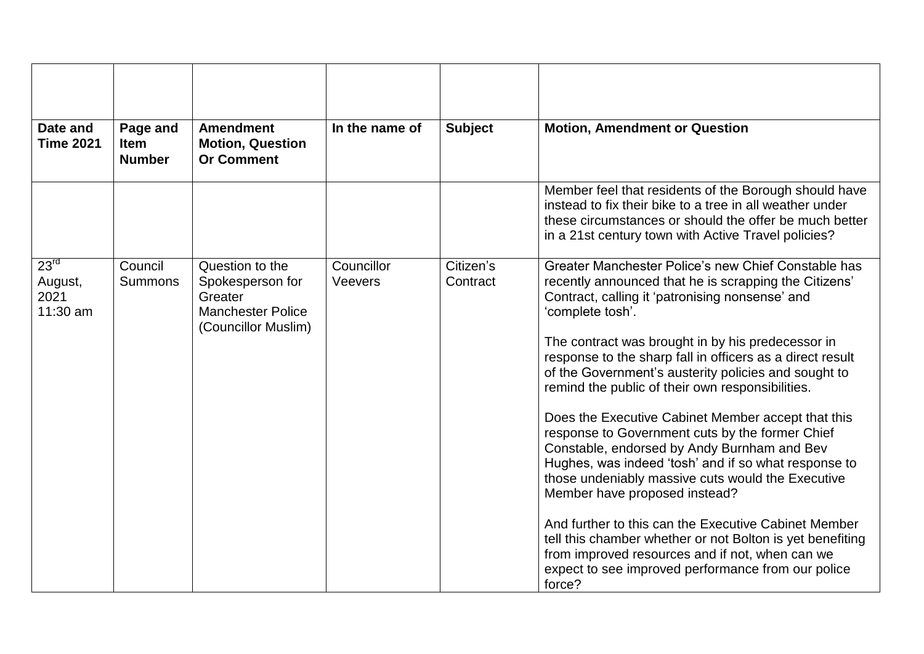| Date and<br><b>Time 2021</b>                    | Page and<br><b>Item</b><br><b>Number</b> | <b>Amendment</b><br><b>Motion, Question</b><br><b>Or Comment</b>                                  | In the name of               | <b>Subject</b>        | <b>Motion, Amendment or Question</b>                                                                                                                                                                                                                                                                                                                                                                                                                                                                                                                                                                                                                                                                                                                                                                                                                                                                                                                            |
|-------------------------------------------------|------------------------------------------|---------------------------------------------------------------------------------------------------|------------------------------|-----------------------|-----------------------------------------------------------------------------------------------------------------------------------------------------------------------------------------------------------------------------------------------------------------------------------------------------------------------------------------------------------------------------------------------------------------------------------------------------------------------------------------------------------------------------------------------------------------------------------------------------------------------------------------------------------------------------------------------------------------------------------------------------------------------------------------------------------------------------------------------------------------------------------------------------------------------------------------------------------------|
|                                                 |                                          |                                                                                                   |                              |                       | Member feel that residents of the Borough should have<br>instead to fix their bike to a tree in all weather under<br>these circumstances or should the offer be much better<br>in a 21st century town with Active Travel policies?                                                                                                                                                                                                                                                                                                                                                                                                                                                                                                                                                                                                                                                                                                                              |
| 23 <sup>rd</sup><br>August,<br>2021<br>11:30 am | Council<br>Summons                       | Question to the<br>Spokesperson for<br>Greater<br><b>Manchester Police</b><br>(Councillor Muslim) | Councillor<br><b>Veevers</b> | Citizen's<br>Contract | Greater Manchester Police's new Chief Constable has<br>recently announced that he is scrapping the Citizens'<br>Contract, calling it 'patronising nonsense' and<br>'complete tosh'.<br>The contract was brought in by his predecessor in<br>response to the sharp fall in officers as a direct result<br>of the Government's austerity policies and sought to<br>remind the public of their own responsibilities.<br>Does the Executive Cabinet Member accept that this<br>response to Government cuts by the former Chief<br>Constable, endorsed by Andy Burnham and Bev<br>Hughes, was indeed 'tosh' and if so what response to<br>those undeniably massive cuts would the Executive<br>Member have proposed instead?<br>And further to this can the Executive Cabinet Member<br>tell this chamber whether or not Bolton is yet benefiting<br>from improved resources and if not, when can we<br>expect to see improved performance from our police<br>force? |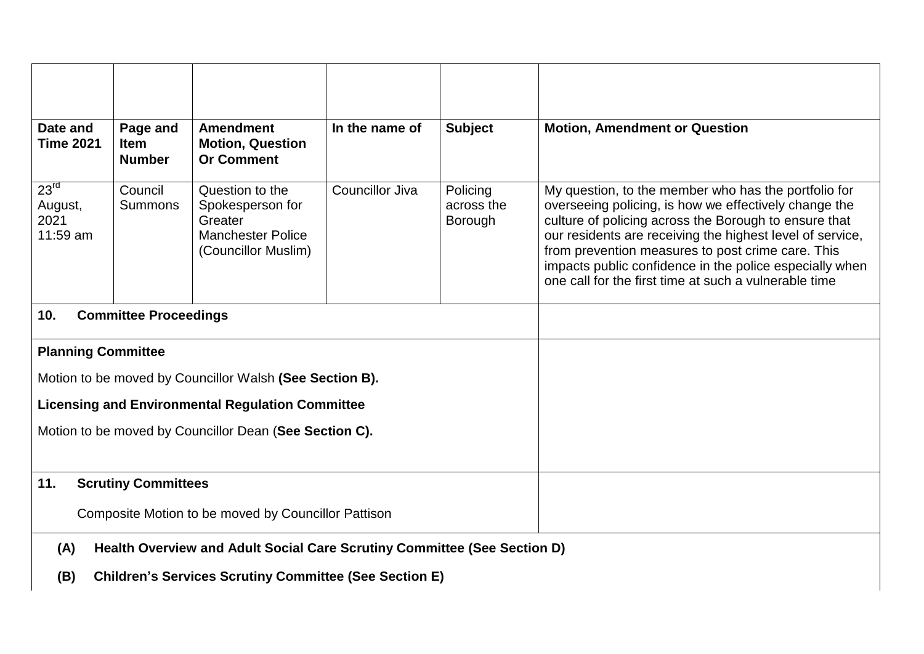| Date and<br><b>Time 2021</b>                                                                                                                            | Page and<br><b>Item</b><br><b>Number</b> | <b>Amendment</b><br><b>Motion, Question</b><br><b>Or Comment</b>                                  | In the name of  | <b>Subject</b>                           | <b>Motion, Amendment or Question</b>                                                                                                                                                                                                                                                                                                                                                                         |  |
|---------------------------------------------------------------------------------------------------------------------------------------------------------|------------------------------------------|---------------------------------------------------------------------------------------------------|-----------------|------------------------------------------|--------------------------------------------------------------------------------------------------------------------------------------------------------------------------------------------------------------------------------------------------------------------------------------------------------------------------------------------------------------------------------------------------------------|--|
| 23 <sup>rd</sup><br>August,<br>2021<br>11:59 am                                                                                                         | Council<br><b>Summons</b>                | Question to the<br>Spokesperson for<br>Greater<br><b>Manchester Police</b><br>(Councillor Muslim) | Councillor Jiva | Policing<br>across the<br><b>Borough</b> | My question, to the member who has the portfolio for<br>overseeing policing, is how we effectively change the<br>culture of policing across the Borough to ensure that<br>our residents are receiving the highest level of service,<br>from prevention measures to post crime care. This<br>impacts public confidence in the police especially when<br>one call for the first time at such a vulnerable time |  |
| 10.                                                                                                                                                     | <b>Committee Proceedings</b>             |                                                                                                   |                 |                                          |                                                                                                                                                                                                                                                                                                                                                                                                              |  |
| <b>Planning Committee</b>                                                                                                                               |                                          |                                                                                                   |                 |                                          |                                                                                                                                                                                                                                                                                                                                                                                                              |  |
|                                                                                                                                                         |                                          | Motion to be moved by Councillor Walsh (See Section B).                                           |                 |                                          |                                                                                                                                                                                                                                                                                                                                                                                                              |  |
|                                                                                                                                                         |                                          | <b>Licensing and Environmental Regulation Committee</b>                                           |                 |                                          |                                                                                                                                                                                                                                                                                                                                                                                                              |  |
|                                                                                                                                                         |                                          | Motion to be moved by Councillor Dean (See Section C).                                            |                 |                                          |                                                                                                                                                                                                                                                                                                                                                                                                              |  |
| 11.                                                                                                                                                     | <b>Scrutiny Committees</b>               |                                                                                                   |                 |                                          |                                                                                                                                                                                                                                                                                                                                                                                                              |  |
| Composite Motion to be moved by Councillor Pattison                                                                                                     |                                          |                                                                                                   |                 |                                          |                                                                                                                                                                                                                                                                                                                                                                                                              |  |
| Health Overview and Adult Social Care Scrutiny Committee (See Section D)<br>(A)<br><b>Children's Services Scrutiny Committee (See Section E)</b><br>(B) |                                          |                                                                                                   |                 |                                          |                                                                                                                                                                                                                                                                                                                                                                                                              |  |